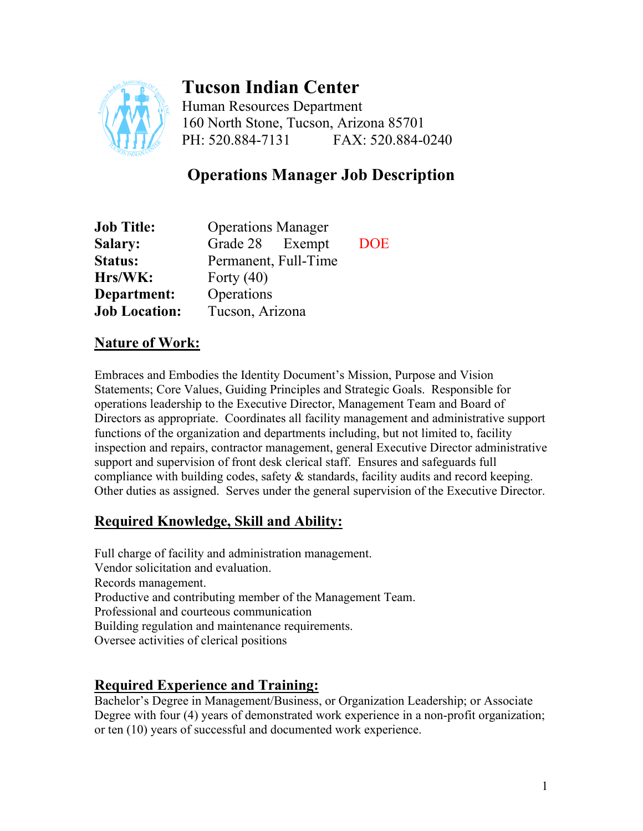

# **Tucson Indian Center**

Human Resources Department 160 North Stone, Tucson, Arizona 85701 PH: 520.884-7131 FAX: 520.884-0240

# **Operations Manager Job Description**

| <b>Job Title:</b>    | <b>Operations Manager</b> |            |
|----------------------|---------------------------|------------|
| <b>Salary:</b>       | Grade 28 Exempt           | <b>DOE</b> |
| <b>Status:</b>       | Permanent, Full-Time      |            |
| Hrs/WK:              | Forty $(40)$              |            |
| Department:          | Operations                |            |
| <b>Job Location:</b> | Tucson, Arizona           |            |

#### **Nature of Work:**

Embraces and Embodies the Identity Document's Mission, Purpose and Vision Statements; Core Values, Guiding Principles and Strategic Goals. Responsible for operations leadership to the Executive Director, Management Team and Board of Directors as appropriate. Coordinates all facility management and administrative support functions of the organization and departments including, but not limited to, facility inspection and repairs, contractor management, general Executive Director administrative support and supervision of front desk clerical staff. Ensures and safeguards full compliance with building codes, safety & standards, facility audits and record keeping. Other duties as assigned. Serves under the general supervision of the Executive Director.

# **Required Knowledge, Skill and Ability:**

Full charge of facility and administration management. Vendor solicitation and evaluation. Records management. Productive and contributing member of the Management Team. Professional and courteous communication Building regulation and maintenance requirements. Oversee activities of clerical positions

#### **Required Experience and Training:**

Bachelor's Degree in Management/Business, or Organization Leadership; or Associate Degree with four (4) years of demonstrated work experience in a non-profit organization; or ten (10) years of successful and documented work experience.